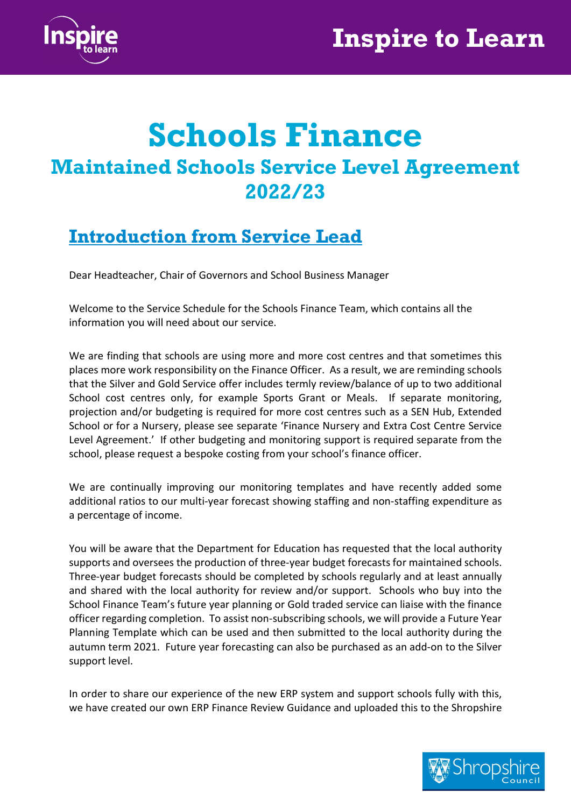

# Schools Finance Maintained Schools Service Level Agreement 2022/23

## Introduction from Service Lead

Dear Headteacher, Chair of Governors and School Business Manager

Welcome to the Service Schedule for the Schools Finance Team, which contains all the information you will need about our service.

We are finding that schools are using more and more cost centres and that sometimes this places more work responsibility on the Finance Officer. As a result, we are reminding schools that the Silver and Gold Service offer includes termly review/balance of up to two additional School cost centres only, for example Sports Grant or Meals. If separate monitoring, projection and/or budgeting is required for more cost centres such as a SEN Hub, Extended School or for a Nursery, please see separate 'Finance Nursery and Extra Cost Centre Service Level Agreement.' If other budgeting and monitoring support is required separate from the school, please request a bespoke costing from your school's finance officer.

We are continually improving our monitoring templates and have recently added some additional ratios to our multi-year forecast showing staffing and non-staffing expenditure as a percentage of income.

You will be aware that the Department for Education has requested that the local authority supports and oversees the production of three-year budget forecasts for maintained schools. Three-year budget forecasts should be completed by schools regularly and at least annually and shared with the local authority for review and/or support. Schools who buy into the School Finance Team's future year planning or Gold traded service can liaise with the finance officer regarding completion. To assist non-subscribing schools, we will provide a Future Year Planning Template which can be used and then submitted to the local authority during the autumn term 2021. Future year forecasting can also be purchased as an add-on to the Silver support level.

In order to share our experience of the new ERP system and support schools fully with this, we have created our own ERP Finance Review Guidance and uploaded this to the Shropshire

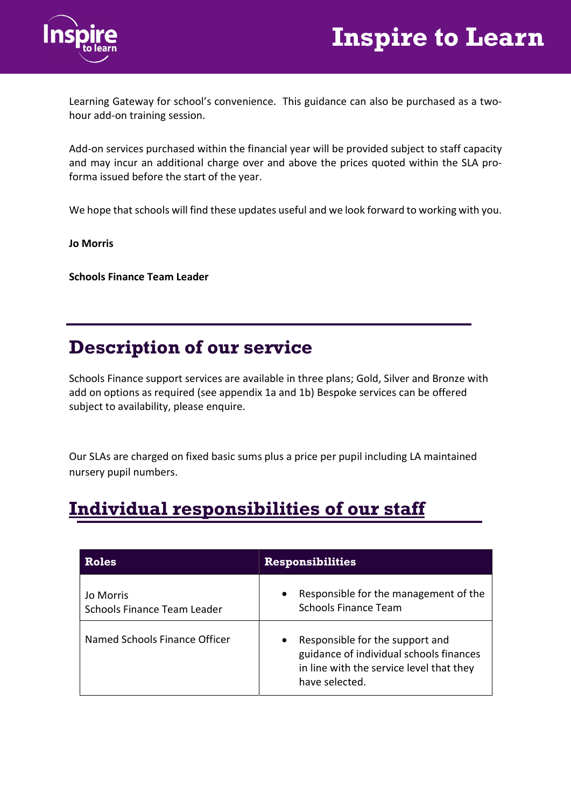



Learning Gateway for school's convenience. This guidance can also be purchased as a twohour add-on training session.

Add-on services purchased within the financial year will be provided subject to staff capacity and may incur an additional charge over and above the prices quoted within the SLA proforma issued before the start of the year.

We hope that schools will find these updates useful and we look forward to working with you.

Jo Morris

Schools Finance Team Leader

#### Description of our service

Schools Finance support services are available in three plans; Gold, Silver and Bronze with add on options as required (see appendix 1a and 1b) Bespoke services can be offered subject to availability, please enquire.

Our SLAs are charged on fixed basic sums plus a price per pupil including LA maintained nursery pupil numbers.

### Individual responsibilities of our staff

| <b>Roles</b>                             | <b>Responsibilities</b>                                                                                                                  |
|------------------------------------------|------------------------------------------------------------------------------------------------------------------------------------------|
| Jo Morris<br>Schools Finance Team Leader | Responsible for the management of the<br><b>Schools Finance Team</b>                                                                     |
| Named Schools Finance Officer            | Responsible for the support and<br>guidance of individual schools finances<br>in line with the service level that they<br>have selected. |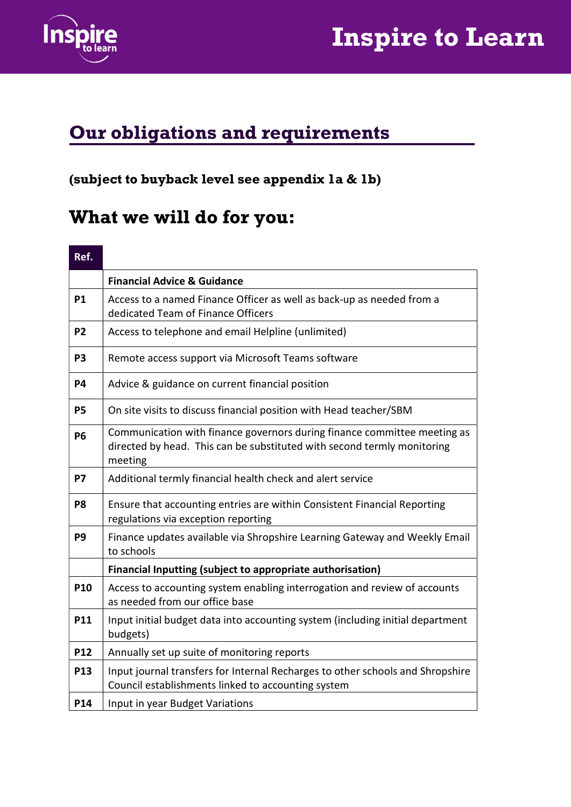

# Inspire to Learn

# Our obligations and requirements

#### (subject to buyback level see appendix 1a & 1b)

## What we will do for you:

#### Ref.

|                | <b>Financial Advice &amp; Guidance</b>                                                                                                                         |
|----------------|----------------------------------------------------------------------------------------------------------------------------------------------------------------|
| <b>P1</b>      | Access to a named Finance Officer as well as back-up as needed from a<br>dedicated Team of Finance Officers                                                    |
| P <sub>2</sub> | Access to telephone and email Helpline (unlimited)                                                                                                             |
| P <sub>3</sub> | Remote access support via Microsoft Teams software                                                                                                             |
| <b>P4</b>      | Advice & guidance on current financial position                                                                                                                |
| <b>P5</b>      | On site visits to discuss financial position with Head teacher/SBM                                                                                             |
| <b>P6</b>      | Communication with finance governors during finance committee meeting as<br>directed by head. This can be substituted with second termly monitoring<br>meeting |
| <b>P7</b>      | Additional termly financial health check and alert service                                                                                                     |
| P <sub>8</sub> | Ensure that accounting entries are within Consistent Financial Reporting<br>regulations via exception reporting                                                |
| P <sub>9</sub> | Finance updates available via Shropshire Learning Gateway and Weekly Email<br>to schools                                                                       |
|                | Financial Inputting (subject to appropriate authorisation)                                                                                                     |
| <b>P10</b>     | Access to accounting system enabling interrogation and review of accounts<br>as needed from our office base                                                    |
| P11            | Input initial budget data into accounting system (including initial department<br>budgets)                                                                     |
| <b>P12</b>     | Annually set up suite of monitoring reports                                                                                                                    |
| P13            | Input journal transfers for Internal Recharges to other schools and Shropshire<br>Council establishments linked to accounting system                           |
| P14            | Input in year Budget Variations                                                                                                                                |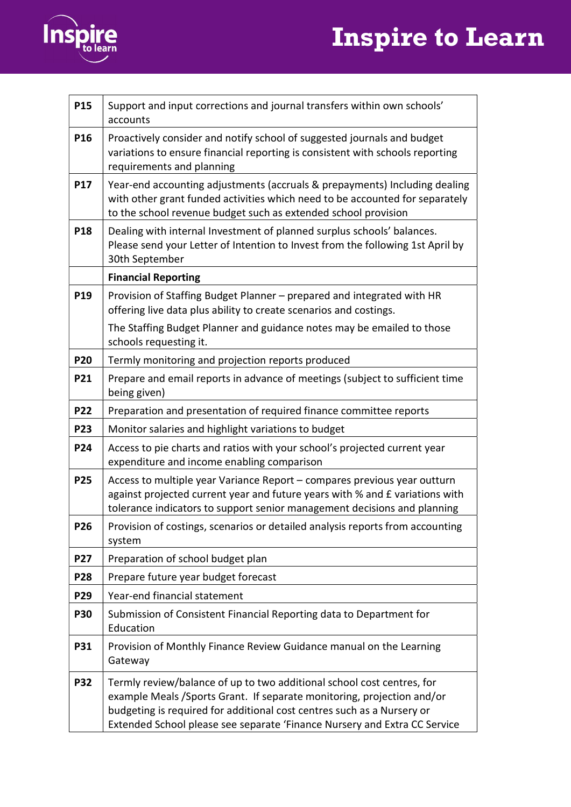# Inspire to Learn



| P15             | Support and input corrections and journal transfers within own schools'<br>accounts                                                                                                                                                                                                                      |
|-----------------|----------------------------------------------------------------------------------------------------------------------------------------------------------------------------------------------------------------------------------------------------------------------------------------------------------|
| P <sub>16</sub> | Proactively consider and notify school of suggested journals and budget<br>variations to ensure financial reporting is consistent with schools reporting<br>requirements and planning                                                                                                                    |
| <b>P17</b>      | Year-end accounting adjustments (accruals & prepayments) Including dealing<br>with other grant funded activities which need to be accounted for separately<br>to the school revenue budget such as extended school provision                                                                             |
| <b>P18</b>      | Dealing with internal Investment of planned surplus schools' balances.<br>Please send your Letter of Intention to Invest from the following 1st April by<br>30th September                                                                                                                               |
|                 | <b>Financial Reporting</b>                                                                                                                                                                                                                                                                               |
| <b>P19</b>      | Provision of Staffing Budget Planner - prepared and integrated with HR<br>offering live data plus ability to create scenarios and costings.                                                                                                                                                              |
|                 | The Staffing Budget Planner and guidance notes may be emailed to those<br>schools requesting it.                                                                                                                                                                                                         |
| <b>P20</b>      | Termly monitoring and projection reports produced                                                                                                                                                                                                                                                        |
| <b>P21</b>      | Prepare and email reports in advance of meetings (subject to sufficient time<br>being given)                                                                                                                                                                                                             |
| P22             | Preparation and presentation of required finance committee reports                                                                                                                                                                                                                                       |
| P23             | Monitor salaries and highlight variations to budget                                                                                                                                                                                                                                                      |
| P24             | Access to pie charts and ratios with your school's projected current year<br>expenditure and income enabling comparison                                                                                                                                                                                  |
| <b>P25</b>      | Access to multiple year Variance Report - compares previous year outturn<br>against projected current year and future years with % and £ variations with<br>tolerance indicators to support senior management decisions and planning                                                                     |
| P26             | Provision of costings, scenarios or detailed analysis reports from accounting<br>system                                                                                                                                                                                                                  |
| P27             | Preparation of school budget plan                                                                                                                                                                                                                                                                        |
| <b>P28</b>      | Prepare future year budget forecast                                                                                                                                                                                                                                                                      |
| P29             | Year-end financial statement                                                                                                                                                                                                                                                                             |
| <b>P30</b>      | Submission of Consistent Financial Reporting data to Department for<br>Education                                                                                                                                                                                                                         |
| <b>P31</b>      | Provision of Monthly Finance Review Guidance manual on the Learning<br>Gateway                                                                                                                                                                                                                           |
| <b>P32</b>      | Termly review/balance of up to two additional school cost centres, for<br>example Meals / Sports Grant. If separate monitoring, projection and/or<br>budgeting is required for additional cost centres such as a Nursery or<br>Extended School please see separate 'Finance Nursery and Extra CC Service |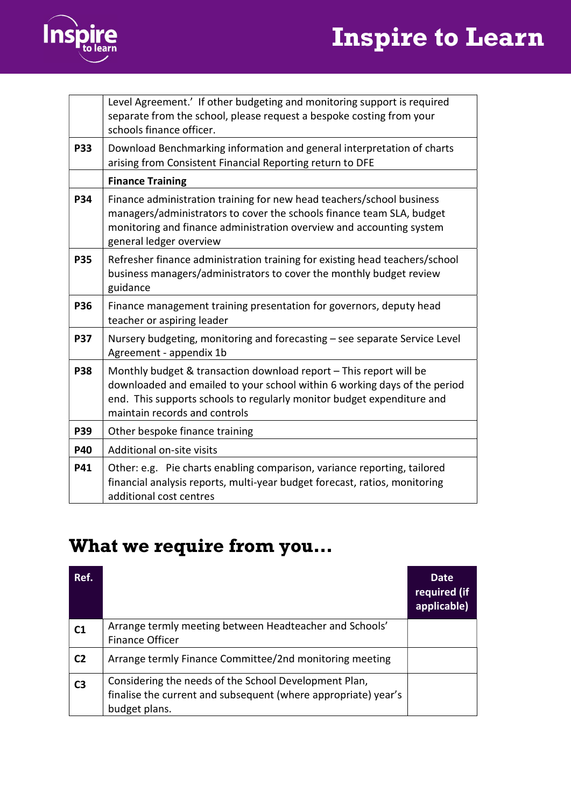# Inspire to Learn



|            | Level Agreement.' If other budgeting and monitoring support is required<br>separate from the school, please request a bespoke costing from your<br>schools finance officer.                                                                                |
|------------|------------------------------------------------------------------------------------------------------------------------------------------------------------------------------------------------------------------------------------------------------------|
| <b>P33</b> | Download Benchmarking information and general interpretation of charts<br>arising from Consistent Financial Reporting return to DFE                                                                                                                        |
|            | <b>Finance Training</b>                                                                                                                                                                                                                                    |
| P34        | Finance administration training for new head teachers/school business<br>managers/administrators to cover the schools finance team SLA, budget<br>monitoring and finance administration overview and accounting system<br>general ledger overview          |
| <b>P35</b> | Refresher finance administration training for existing head teachers/school<br>business managers/administrators to cover the monthly budget review<br>guidance                                                                                             |
| <b>P36</b> | Finance management training presentation for governors, deputy head<br>teacher or aspiring leader                                                                                                                                                          |
| <b>P37</b> | Nursery budgeting, monitoring and forecasting - see separate Service Level<br>Agreement - appendix 1b                                                                                                                                                      |
| <b>P38</b> | Monthly budget & transaction download report - This report will be<br>downloaded and emailed to your school within 6 working days of the period<br>end. This supports schools to regularly monitor budget expenditure and<br>maintain records and controls |
| <b>P39</b> | Other bespoke finance training                                                                                                                                                                                                                             |
| P40        | Additional on-site visits                                                                                                                                                                                                                                  |
| P41        | Other: e.g. Pie charts enabling comparison, variance reporting, tailored<br>financial analysis reports, multi-year budget forecast, ratios, monitoring<br>additional cost centres                                                                          |

# What we require from you…

| Ref.           |                                                                                                                                          | <b>Date</b><br>required (if<br>applicable) |
|----------------|------------------------------------------------------------------------------------------------------------------------------------------|--------------------------------------------|
| C <sub>1</sub> | Arrange termly meeting between Headteacher and Schools'<br><b>Finance Officer</b>                                                        |                                            |
| C <sub>2</sub> | Arrange termly Finance Committee/2nd monitoring meeting                                                                                  |                                            |
| C <sub>3</sub> | Considering the needs of the School Development Plan,<br>finalise the current and subsequent (where appropriate) year's<br>budget plans. |                                            |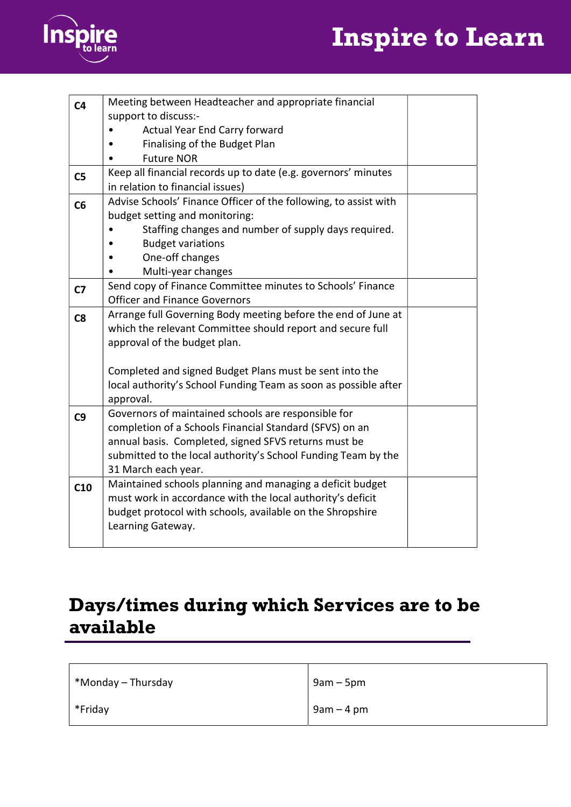



| C <sub>4</sub> | Meeting between Headteacher and appropriate financial            |  |
|----------------|------------------------------------------------------------------|--|
|                | support to discuss:-                                             |  |
|                | Actual Year End Carry forward                                    |  |
|                | Finalising of the Budget Plan                                    |  |
|                | <b>Future NOR</b>                                                |  |
| C <sub>5</sub> | Keep all financial records up to date (e.g. governors' minutes   |  |
|                | in relation to financial issues)                                 |  |
| C6             | Advise Schools' Finance Officer of the following, to assist with |  |
|                | budget setting and monitoring:                                   |  |
|                | Staffing changes and number of supply days required.             |  |
|                | <b>Budget variations</b>                                         |  |
|                | One-off changes                                                  |  |
|                | Multi-year changes                                               |  |
| C <sub>7</sub> | Send copy of Finance Committee minutes to Schools' Finance       |  |
|                | <b>Officer and Finance Governors</b>                             |  |
| C8             | Arrange full Governing Body meeting before the end of June at    |  |
|                | which the relevant Committee should report and secure full       |  |
|                | approval of the budget plan.                                     |  |
|                |                                                                  |  |
|                | Completed and signed Budget Plans must be sent into the          |  |
|                | local authority's School Funding Team as soon as possible after  |  |
|                | approval.                                                        |  |
| C <sub>9</sub> | Governors of maintained schools are responsible for              |  |
|                | completion of a Schools Financial Standard (SFVS) on an          |  |
|                | annual basis. Completed, signed SFVS returns must be             |  |
|                | submitted to the local authority's School Funding Team by the    |  |
|                | 31 March each year.                                              |  |
| C10            | Maintained schools planning and managing a deficit budget        |  |
|                | must work in accordance with the local authority's deficit       |  |
|                | budget protocol with schools, available on the Shropshire        |  |
|                | Learning Gateway.                                                |  |
|                |                                                                  |  |

### Days/times during which Services are to be available

| $\vert$ *Monday – Thursday | $9am - 5pm$ |
|----------------------------|-------------|
| $*$ Friday                 | $9am - 4pm$ |